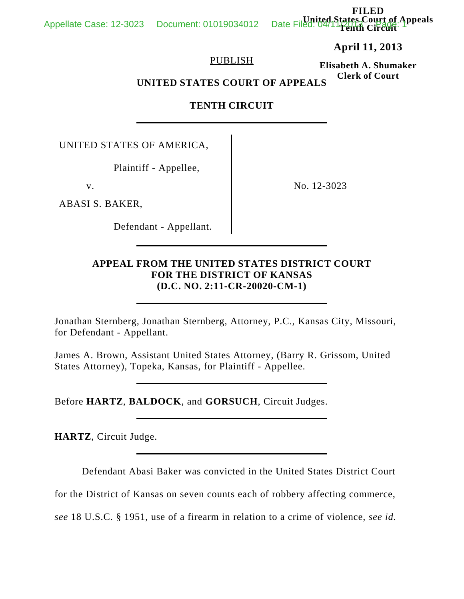**FILED Court of Appeals** Date Filed O4/19tates

**April 11, 2013**

# PUBLISH

**Elisabeth A. Shumaker Clerk of Court**

**UNITED STATES COURT OF APPEALS**

# **TENTH CIRCUIT**

UNITED STATES OF AMERICA,

Plaintiff - Appellee,

ABASI S. BAKER,

Defendant - Appellant.

v. No. 12-3023

# **APPEAL FROM THE UNITED STATES DISTRICT COURT FOR THE DISTRICT OF KANSAS (D.C. NO. 2:11-CR-20020-CM-1)**

Jonathan Sternberg, Jonathan Sternberg, Attorney, P.C., Kansas City, Missouri, for Defendant - Appellant.

James A. Brown, Assistant United States Attorney, (Barry R. Grissom, United States Attorney), Topeka, Kansas, for Plaintiff - Appellee.

Before **HARTZ**, **BALDOCK**, and **GORSUCH**, Circuit Judges.

**HARTZ**, Circuit Judge.

Defendant Abasi Baker was convicted in the United States District Court

for the District of Kansas on seven counts each of robbery affecting commerce,

*see* 18 U.S.C. § 1951, use of a firearm in relation to a crime of violence, *see id.*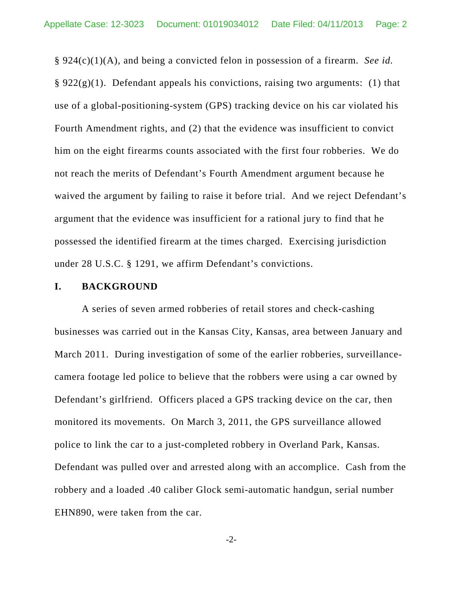§ 924(c)(1)(A), and being a convicted felon in possession of a firearm. *See id.*  $\S 922(g)(1)$ . Defendant appeals his convictions, raising two arguments: (1) that use of a global-positioning-system (GPS) tracking device on his car violated his Fourth Amendment rights, and (2) that the evidence was insufficient to convict him on the eight firearms counts associated with the first four robberies. We do not reach the merits of Defendant's Fourth Amendment argument because he waived the argument by failing to raise it before trial. And we reject Defendant's argument that the evidence was insufficient for a rational jury to find that he possessed the identified firearm at the times charged. Exercising jurisdiction under 28 U.S.C. § 1291, we affirm Defendant's convictions.

#### **I. BACKGROUND**

A series of seven armed robberies of retail stores and check-cashing businesses was carried out in the Kansas City, Kansas, area between January and March 2011. During investigation of some of the earlier robberies, surveillancecamera footage led police to believe that the robbers were using a car owned by Defendant's girlfriend. Officers placed a GPS tracking device on the car, then monitored its movements. On March 3, 2011, the GPS surveillance allowed police to link the car to a just-completed robbery in Overland Park, Kansas. Defendant was pulled over and arrested along with an accomplice. Cash from the robbery and a loaded .40 caliber Glock semi-automatic handgun, serial number EHN890, were taken from the car.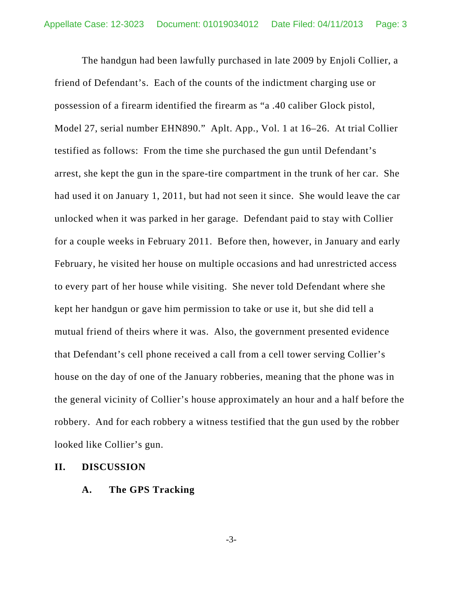The handgun had been lawfully purchased in late 2009 by Enjoli Collier, a friend of Defendant's. Each of the counts of the indictment charging use or possession of a firearm identified the firearm as "a .40 caliber Glock pistol, Model 27, serial number EHN890." Aplt. App., Vol. 1 at 16–26. At trial Collier testified as follows: From the time she purchased the gun until Defendant's arrest, she kept the gun in the spare-tire compartment in the trunk of her car. She had used it on January 1, 2011, but had not seen it since. She would leave the car unlocked when it was parked in her garage. Defendant paid to stay with Collier for a couple weeks in February 2011. Before then, however, in January and early February, he visited her house on multiple occasions and had unrestricted access to every part of her house while visiting. She never told Defendant where she kept her handgun or gave him permission to take or use it, but she did tell a mutual friend of theirs where it was. Also, the government presented evidence that Defendant's cell phone received a call from a cell tower serving Collier's house on the day of one of the January robberies, meaning that the phone was in the general vicinity of Collier's house approximately an hour and a half before the robbery. And for each robbery a witness testified that the gun used by the robber looked like Collier's gun.

## **II. DISCUSSION**

**A. The GPS Tracking**

-3-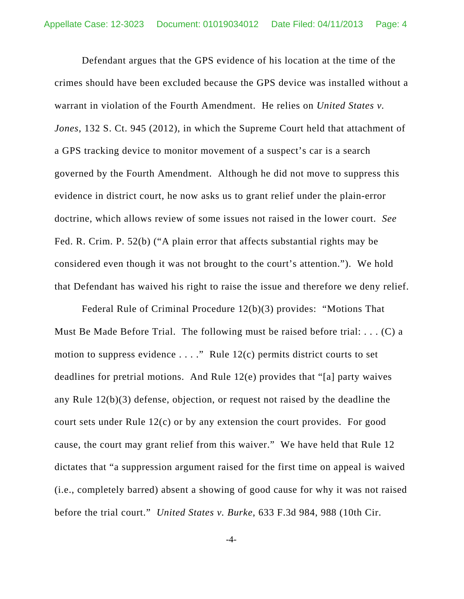Defendant argues that the GPS evidence of his location at the time of the crimes should have been excluded because the GPS device was installed without a warrant in violation of the Fourth Amendment. He relies on *United States v. Jones*, 132 S. Ct. 945 (2012), in which the Supreme Court held that attachment of a GPS tracking device to monitor movement of a suspect's car is a search governed by the Fourth Amendment. Although he did not move to suppress this evidence in district court, he now asks us to grant relief under the plain-error doctrine, which allows review of some issues not raised in the lower court. *See* Fed. R. Crim. P. 52(b) ("A plain error that affects substantial rights may be considered even though it was not brought to the court's attention."). We hold that Defendant has waived his right to raise the issue and therefore we deny relief.

Federal Rule of Criminal Procedure 12(b)(3) provides: "Motions That Must Be Made Before Trial. The following must be raised before trial: . . . (C) a motion to suppress evidence  $\dots$ ." Rule 12(c) permits district courts to set deadlines for pretrial motions. And Rule 12(e) provides that "[a] party waives any Rule 12(b)(3) defense, objection, or request not raised by the deadline the court sets under Rule 12(c) or by any extension the court provides. For good cause, the court may grant relief from this waiver." We have held that Rule 12 dictates that "a suppression argument raised for the first time on appeal is waived (i.e., completely barred) absent a showing of good cause for why it was not raised before the trial court." *United States v. Burke*, 633 F.3d 984, 988 (10th Cir.

-4-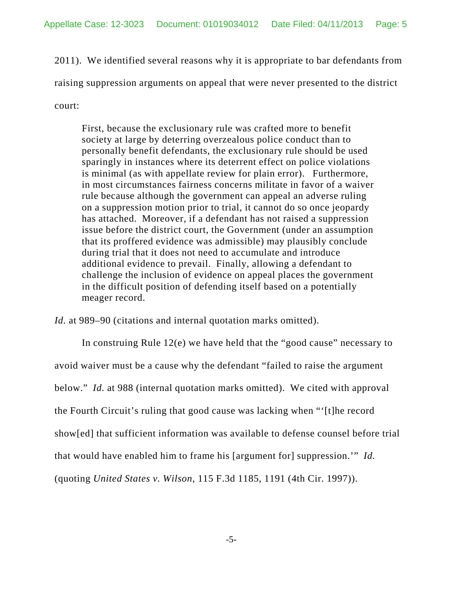2011). We identified several reasons why it is appropriate to bar defendants from raising suppression arguments on appeal that were never presented to the district court:

First, because the exclusionary rule was crafted more to benefit society at large by deterring overzealous police conduct than to personally benefit defendants, the exclusionary rule should be used sparingly in instances where its deterrent effect on police violations is minimal (as with appellate review for plain error). Furthermore, in most circumstances fairness concerns militate in favor of a waiver rule because although the government can appeal an adverse ruling on a suppression motion prior to trial, it cannot do so once jeopardy has attached. Moreover, if a defendant has not raised a suppression issue before the district court, the Government (under an assumption that its proffered evidence was admissible) may plausibly conclude during trial that it does not need to accumulate and introduce additional evidence to prevail. Finally, allowing a defendant to challenge the inclusion of evidence on appeal places the government in the difficult position of defending itself based on a potentially meager record.

*Id.* at 989–90 (citations and internal quotation marks omitted).

In construing Rule 12(e) we have held that the "good cause" necessary to avoid waiver must be a cause why the defendant "failed to raise the argument below." *Id.* at 988 (internal quotation marks omitted). We cited with approval the Fourth Circuit's ruling that good cause was lacking when "'[t]he record show[ed] that sufficient information was available to defense counsel before trial that would have enabled him to frame his [argument for] suppression.'" *Id.*

(quoting *United States v. Wilson*, 115 F.3d 1185, 1191 (4th Cir. 1997)).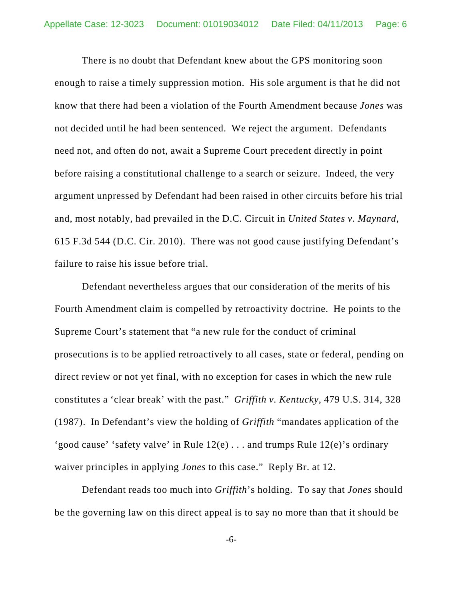There is no doubt that Defendant knew about the GPS monitoring soon enough to raise a timely suppression motion. His sole argument is that he did not know that there had been a violation of the Fourth Amendment because *Jones* was not decided until he had been sentenced. We reject the argument. Defendants need not, and often do not, await a Supreme Court precedent directly in point before raising a constitutional challenge to a search or seizure. Indeed, the very argument unpressed by Defendant had been raised in other circuits before his trial and, most notably, had prevailed in the D.C. Circuit in *United States v. Maynard*, 615 F.3d 544 (D.C. Cir. 2010). There was not good cause justifying Defendant's failure to raise his issue before trial.

Defendant nevertheless argues that our consideration of the merits of his Fourth Amendment claim is compelled by retroactivity doctrine. He points to the Supreme Court's statement that "a new rule for the conduct of criminal prosecutions is to be applied retroactively to all cases, state or federal, pending on direct review or not yet final, with no exception for cases in which the new rule constitutes a 'clear break' with the past." *Griffith v. Kentucky*, 479 U.S. 314, 328 (1987). In Defendant's view the holding of *Griffith* "mandates application of the 'good cause' 'safety valve' in Rule 12(e) . . . and trumps Rule 12(e)'s ordinary waiver principles in applying *Jones* to this case." Reply Br. at 12.

Defendant reads too much into *Griffith*'s holding. To say that *Jones* should be the governing law on this direct appeal is to say no more than that it should be

-6-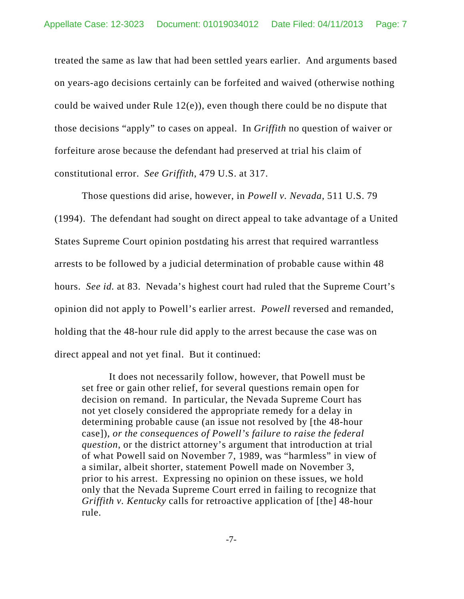treated the same as law that had been settled years earlier. And arguments based on years-ago decisions certainly can be forfeited and waived (otherwise nothing could be waived under Rule 12(e)), even though there could be no dispute that those decisions "apply" to cases on appeal. In *Griffith* no question of waiver or forfeiture arose because the defendant had preserved at trial his claim of constitutional error. *See Griffith*, 479 U.S. at 317.

Those questions did arise, however, in *Powell v. Nevada*, 511 U.S. 79 (1994). The defendant had sought on direct appeal to take advantage of a United States Supreme Court opinion postdating his arrest that required warrantless arrests to be followed by a judicial determination of probable cause within 48 hours. *See id.* at 83. Nevada's highest court had ruled that the Supreme Court's opinion did not apply to Powell's earlier arrest. *Powell* reversed and remanded, holding that the 48-hour rule did apply to the arrest because the case was on direct appeal and not yet final. But it continued:

It does not necessarily follow, however, that Powell must be set free or gain other relief, for several questions remain open for decision on remand. In particular, the Nevada Supreme Court has not yet closely considered the appropriate remedy for a delay in determining probable cause (an issue not resolved by [the 48-hour case]), *or the consequences of Powell's failure to raise the federal question*, or the district attorney's argument that introduction at trial of what Powell said on November 7, 1989, was "harmless" in view of a similar, albeit shorter, statement Powell made on November 3, prior to his arrest. Expressing no opinion on these issues, we hold only that the Nevada Supreme Court erred in failing to recognize that *Griffith v. Kentucky* calls for retroactive application of [the] 48-hour rule.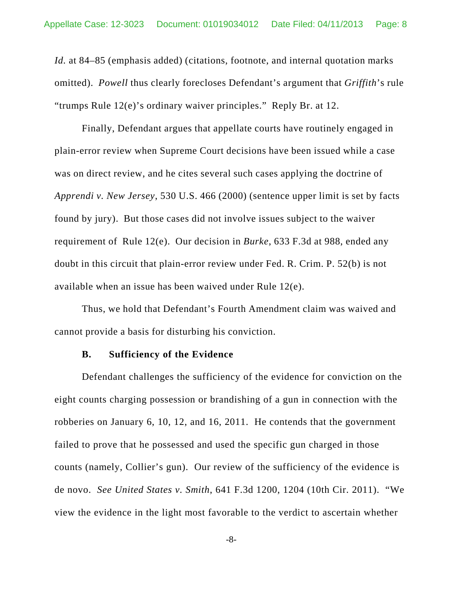*Id.* at 84–85 (emphasis added) (citations, footnote, and internal quotation marks omitted). *Powell* thus clearly forecloses Defendant's argument that *Griffith*'s rule "trumps Rule 12(e)'s ordinary waiver principles." Reply Br. at 12.

Finally, Defendant argues that appellate courts have routinely engaged in plain-error review when Supreme Court decisions have been issued while a case was on direct review, and he cites several such cases applying the doctrine of *Apprendi v. New Jersey*, 530 U.S. 466 (2000) (sentence upper limit is set by facts found by jury). But those cases did not involve issues subject to the waiver requirement of Rule 12(e). Our decision in *Burke*, 633 F.3d at 988, ended any doubt in this circuit that plain-error review under Fed. R. Crim. P. 52(b) is not available when an issue has been waived under Rule 12(e).

Thus, we hold that Defendant's Fourth Amendment claim was waived and cannot provide a basis for disturbing his conviction.

## **B. Sufficiency of the Evidence**

Defendant challenges the sufficiency of the evidence for conviction on the eight counts charging possession or brandishing of a gun in connection with the robberies on January 6, 10, 12, and 16, 2011. He contends that the government failed to prove that he possessed and used the specific gun charged in those counts (namely, Collier's gun). Our review of the sufficiency of the evidence is de novo. *See United States v. Smith*, 641 F.3d 1200, 1204 (10th Cir. 2011). "We view the evidence in the light most favorable to the verdict to ascertain whether

-8-